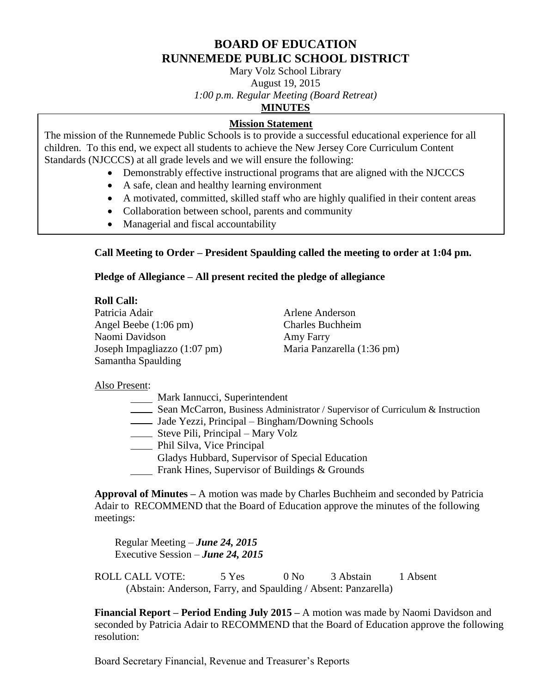## **BOARD OF EDUCATION RUNNEMEDE PUBLIC SCHOOL DISTRICT**

Mary Volz School Library August 19, 2015 *1:00 p.m. Regular Meeting (Board Retreat)*

## **MINUTES**

## **Mission Statement**

The mission of the Runnemede Public Schools is to provide a successful educational experience for all children. To this end, we expect all students to achieve the New Jersey Core Curriculum Content Standards (NJCCCS) at all grade levels and we will ensure the following:

- Demonstrably effective instructional programs that are aligned with the NJCCCS
- A safe, clean and healthy learning environment
- A motivated, committed, skilled staff who are highly qualified in their content areas
- Collaboration between school, parents and community
- Managerial and fiscal accountability

# **Call Meeting to Order – President Spaulding called the meeting to order at 1:04 pm.**

## **Pledge of Allegiance – All present recited the pledge of allegiance**

## **Roll Call:**

Patricia Adair **Arlene Anderson** Angel Beebe (1:06 pm) Charles Buchheim Naomi Davidson **Amy Farry** Joseph Impagliazzo (1:07 pm) Maria Panzarella (1:36 pm) Samantha Spaulding

## Also Present:

- Mark Iannucci, Superintendent
- Sean McCarron, Business Administrator / Supervisor of Curriculum & Instruction
	- Jade Yezzi, Principal Bingham/Downing Schools
- Steve Pili, Principal Mary Volz
- **EXECUTE:** Phil Silva, Vice Principal
- Gladys Hubbard, Supervisor of Special Education
- Frank Hines, Supervisor of Buildings & Grounds

**Approval of Minutes –** A motion was made by Charles Buchheim and seconded by Patricia Adair to RECOMMEND that the Board of Education approve the minutes of the following meetings:

Regular Meeting – *June 24, 2015* Executive Session – *June 24, 2015*

ROLL CALL VOTE: 5 Yes 0 No 3 Abstain 1 Absent (Abstain: Anderson, Farry, and Spaulding / Absent: Panzarella)

**Financial Report – Period Ending July 2015 –** A motion was made by Naomi Davidson and seconded by Patricia Adair to RECOMMEND that the Board of Education approve the following resolution:

Board Secretary Financial, Revenue and Treasurer's Reports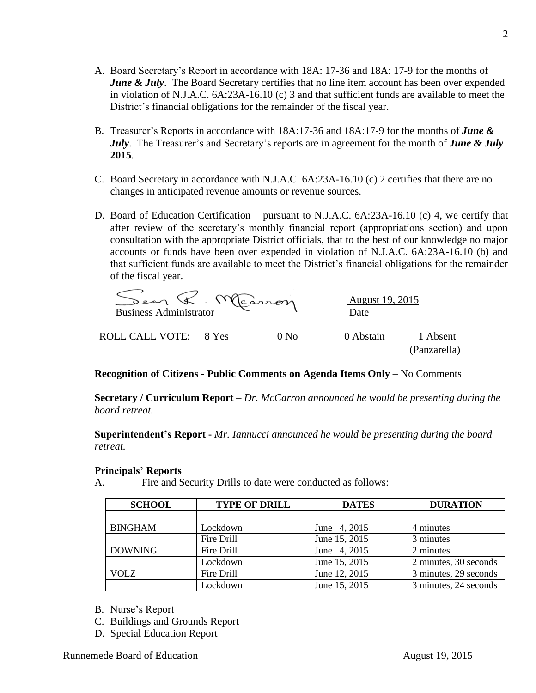- A. Board Secretary's Report in accordance with 18A: 17-36 and 18A: 17-9 for the months of *June & July*. The Board Secretary certifies that no line item account has been over expended in violation of N.J.A.C. 6A:23A-16.10 (c) 3 and that sufficient funds are available to meet the District's financial obligations for the remainder of the fiscal year.
- B. Treasurer's Reports in accordance with 18A:17-36 and 18A:17-9 for the months of *June & July*. The Treasurer's and Secretary's reports are in agreement for the month of *June & July* **2015**.
- C. Board Secretary in accordance with N.J.A.C. 6A:23A-16.10 (c) 2 certifies that there are no changes in anticipated revenue amounts or revenue sources.
- D. Board of Education Certification pursuant to N.J.A.C. 6A:23A-16.10 (c) 4, we certify that after review of the secretary's monthly financial report (appropriations section) and upon consultation with the appropriate District officials, that to the best of our knowledge no major accounts or funds have been over expended in violation of N.J.A.C. 6A:23A-16.10 (b) and that sufficient funds are available to meet the District's financial obligations for the remainder of the fiscal year.

| 20<br><b>Business Administrator</b> |                  | <u>August 19, 2015</u><br>Date |                          |
|-------------------------------------|------------------|--------------------------------|--------------------------|
| ROLL CALL VOTE: 8 Yes               | 0 N <sub>0</sub> | 0 Abstain                      | 1 Absent<br>(Panzarella) |

## **Recognition of Citizens - Public Comments on Agenda Items Only** – No Comments

**Secretary / Curriculum Report** *– Dr. McCarron announced he would be presenting during the board retreat.*

**Superintendent's Report -** *Mr. Iannucci announced he would be presenting during the board retreat.*

#### **Principals' Reports**

A. Fire and Security Drills to date were conducted as follows:

| <b>SCHOOL</b>  | <b>TYPE OF DRILL</b> | <b>DATES</b>  | <b>DURATION</b>       |
|----------------|----------------------|---------------|-----------------------|
|                |                      |               |                       |
| <b>BINGHAM</b> | Lockdown             | June 4, 2015  | 4 minutes             |
|                | Fire Drill           | June 15, 2015 | 3 minutes             |
| <b>DOWNING</b> | Fire Drill           | June 4, 2015  | 2 minutes             |
|                | Lockdown             | June 15, 2015 | 2 minutes, 30 seconds |
| <b>VOLZ</b>    | Fire Drill           | June 12, 2015 | 3 minutes, 29 seconds |
|                | Lockdown             | June 15, 2015 | 3 minutes, 24 seconds |

- B. Nurse's Report
- C. Buildings and Grounds Report
- D. Special Education Report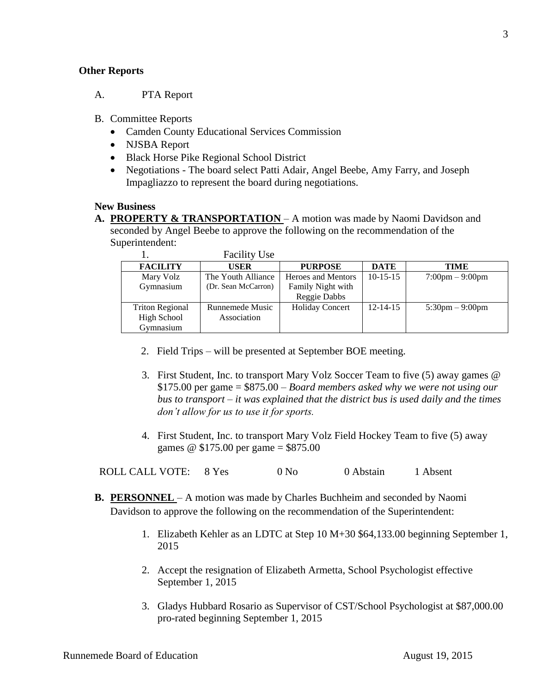## **Other Reports**

- A. PTA Report
- B. Committee Reports
	- Camden County Educational Services Commission
	- NJSBA Report
	- Black Horse Pike Regional School District
	- Negotiations The board select Patti Adair, Angel Beebe, Amy Farry, and Joseph Impagliazzo to represent the board during negotiations.

#### **New Business**

**A. PROPERTY & TRANSPORTATION** – A motion was made by Naomi Davidson and seconded by Angel Beebe to approve the following on the recommendation of the Superintendent:

|                        | <b>Facility Use</b> |                        |                |                                   |
|------------------------|---------------------|------------------------|----------------|-----------------------------------|
| <b>FACILITY</b>        | <b>USER</b>         | <b>PURPOSE</b>         | <b>DATE</b>    | TIME                              |
| Mary Volz              | The Youth Alliance  | Heroes and Mentors     | $10-15-15$     | $7:00 \text{pm} - 9:00 \text{pm}$ |
| Gymnasium              | (Dr. Sean McCarron) | Family Night with      |                |                                   |
|                        |                     | Reggie Dabbs           |                |                                   |
| <b>Triton Regional</b> | Runnemede Music     | <b>Holiday Concert</b> | $12 - 14 - 15$ | $5:30 \text{pm} - 9:00 \text{pm}$ |
| High School            | Association         |                        |                |                                   |
| Gymnasium              |                     |                        |                |                                   |

- 2. Field Trips will be presented at September BOE meeting.
- 3. First Student, Inc. to transport Mary Volz Soccer Team to five (5) away games @ \$175.00 per game = \$875.00 – *Board members asked why we were not using our bus to transport – it was explained that the district bus is used daily and the times don't allow for us to use it for sports.*
- 4. First Student, Inc. to transport Mary Volz Field Hockey Team to five (5) away games @ \$175.00 per game = \$875.00

ROLL CALL VOTE: 8 Yes 0 No 0 Abstain 1 Absent

- **B. PERSONNEL**  A motion was made by Charles Buchheim and seconded by Naomi Davidson to approve the following on the recommendation of the Superintendent:
	- 1. Elizabeth Kehler as an LDTC at Step 10 M+30 \$64,133.00 beginning September 1, 2015
	- 2. Accept the resignation of Elizabeth Armetta, School Psychologist effective September 1, 2015
	- 3. Gladys Hubbard Rosario as Supervisor of CST/School Psychologist at \$87,000.00 pro-rated beginning September 1, 2015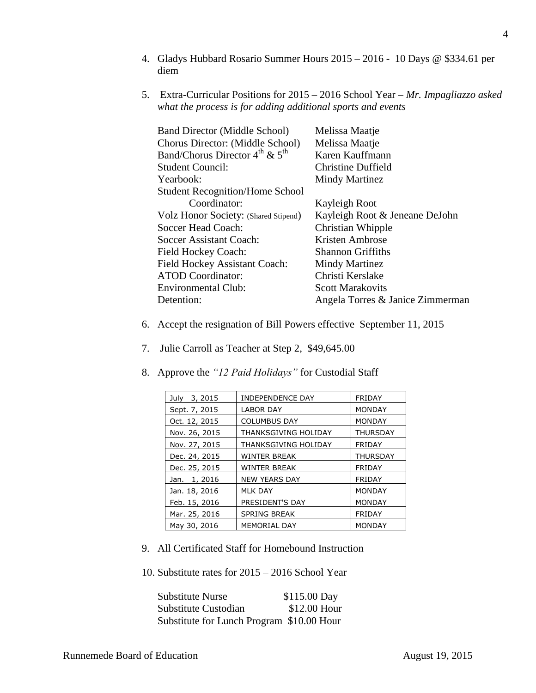- 4. Gladys Hubbard Rosario Summer Hours 2015 2016 10 Days @ \$334.61 per diem
- 5. Extra-Curricular Positions for 2015 2016 School Year *– Mr. Impagliazzo asked what the process is for adding additional sports and events*

| <b>Band Director (Middle School)</b>     | Melissa Maatje                   |
|------------------------------------------|----------------------------------|
| Chorus Director: (Middle School)         | Melissa Maatje                   |
| Band/Chorus Director $4^{th}$ & $5^{th}$ | Karen Kauffmann                  |
| Student Council:                         | Christine Duffield               |
| Yearbook:                                | Mindy Martinez                   |
| <b>Student Recognition/Home School</b>   |                                  |
| Coordinator:                             | Kayleigh Root                    |
| Volz Honor Society: (Shared Stipend)     | Kayleigh Root & Jeneane DeJohn   |
| Soccer Head Coach:                       | Christian Whipple                |
| Soccer Assistant Coach:                  | Kristen Ambrose                  |
| Field Hockey Coach:                      | <b>Shannon Griffiths</b>         |
| <b>Field Hockey Assistant Coach:</b>     | Mindy Martinez                   |
| <b>ATOD</b> Coordinator:                 | Christi Kerslake                 |
| <b>Environmental Club:</b>               | <b>Scott Marakovits</b>          |
| Detention:                               | Angela Torres & Janice Zimmerman |
|                                          |                                  |

- 6. Accept the resignation of Bill Powers effective September 11, 2015
- 7. Julie Carroll as Teacher at Step 2, \$49,645.00
	- July 3, 2015 | INDEPENDENCE DAY | FRIDAY Sept. 7, 2015 | LABOR DAY | MONDAY Oct. 12, 2015 COLUMBUS DAY MONDAY Nov. 26, 2015 | THANKSGIVING HOLIDAY | THURSDAY Nov. 27, 2015 | THANKSGIVING HOLIDAY | FRIDAY Dec. 24, 2015 | WINTER BREAK | THURSDAY Dec. 25, 2015 WINTER BREAK FRIDAY Jan. 1, 2016 | NEW YEARS DAY | FRIDAY Jan. 18, 2016 | MLK DAY | MONDAY Feb. 15, 2016 | PRESIDENT'S DAY | MONDAY Mar. 25, 2016 | SPRING BREAK | FRIDAY May 30, 2016 | MEMORIAL DAY | MONDAY
- 8. Approve the *"12 Paid Holidays"* for Custodial Staff

- 9. All Certificated Staff for Homebound Instruction
- 10. Substitute rates for 2015 2016 School Year

Substitute Nurse \$115.00 Day Substitute Custodian \$12.00 Hour Substitute for Lunch Program \$10.00 Hour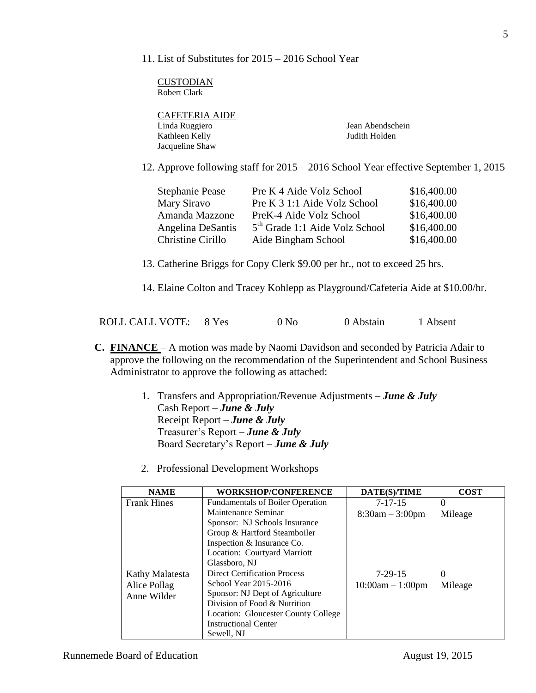11. List of Substitutes for 2015 – 2016 School Year

**CUSTODIAN** Robert Clark

| <b>CAFETERIA AIDE</b> |                  |
|-----------------------|------------------|
| Linda Ruggiero        | Jean Abendschein |
| Kathleen Kelly        | Judith Holden    |
| Jacqueline Shaw       |                  |
|                       |                  |

12. Approve following staff for 2015 – 2016 School Year effective September 1, 2015

| <b>Stephanie Pease</b> | Pre K 4 Aide Volz School                   | \$16,400.00 |
|------------------------|--------------------------------------------|-------------|
| Mary Siravo            | Pre K 3 1:1 Aide Volz School               | \$16,400.00 |
| Amanda Mazzone         | PreK-4 Aide Volz School                    | \$16,400.00 |
| Angelina DeSantis      | 5 <sup>th</sup> Grade 1:1 Aide Volz School | \$16,400.00 |
| Christine Cirillo      | Aide Bingham School                        | \$16,400.00 |

13. Catherine Briggs for Copy Clerk \$9.00 per hr., not to exceed 25 hrs.

14. Elaine Colton and Tracey Kohlepp as Playground/Cafeteria Aide at \$10.00/hr.

|  | ROLL CALL VOTE: 8 Yes |  | 0 N <sub>0</sub> | 0 Abstain | 1 Absent |
|--|-----------------------|--|------------------|-----------|----------|
|--|-----------------------|--|------------------|-----------|----------|

- **C. FINANCE**  A motion was made by Naomi Davidson and seconded by Patricia Adair to approve the following on the recommendation of the Superintendent and School Business Administrator to approve the following as attached:
	- 1. Transfers and Appropriation/Revenue Adjustments *June & July* Cash Report – *June & July* Receipt Report – *June & July* Treasurer's Report – *June & July* Board Secretary's Report – *June & July*
	- 2. Professional Development Workshops

| <b>NAME</b>        | <b>WORKSHOP/CONFERENCE</b>              | DATE(S)/TIME       | <b>COST</b> |
|--------------------|-----------------------------------------|--------------------|-------------|
| <b>Frank Hines</b> | <b>Fundamentals of Boiler Operation</b> | $7 - 17 - 15$      | $\Omega$    |
|                    | Maintenance Seminar                     | $8:30am - 3:00pm$  | Mileage     |
|                    | Sponsor: NJ Schools Insurance           |                    |             |
|                    | Group & Hartford Steamboiler            |                    |             |
|                    | Inspection & Insurance Co.              |                    |             |
|                    | Location: Courtyard Marriott            |                    |             |
|                    | Glassboro, NJ                           |                    |             |
| Kathy Malatesta    | <b>Direct Certification Process</b>     | $7-29-15$          | $\Omega$    |
| Alice Pollag       | School Year 2015-2016                   | $10:00am - 1:00pm$ | Mileage     |
| Anne Wilder        | Sponsor: NJ Dept of Agriculture         |                    |             |
|                    | Division of Food & Nutrition            |                    |             |
|                    | Location: Gloucester County College     |                    |             |
|                    | <b>Instructional Center</b>             |                    |             |
|                    | Sewell, NJ                              |                    |             |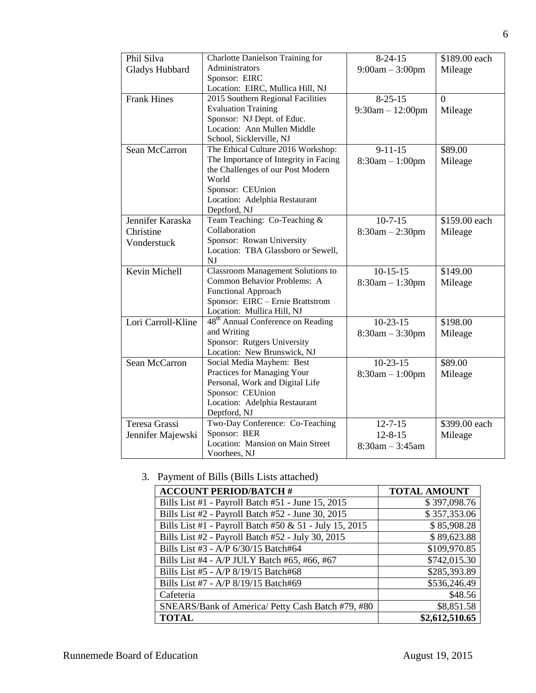| Phil Silva         | <b>Charlotte Danielson Training for</b>       | $8-24-15$          | \$189.00 each |
|--------------------|-----------------------------------------------|--------------------|---------------|
| Gladys Hubbard     | Administrators                                | $9:00am - 3:00pm$  | Mileage       |
|                    | Sponsor: EIRC                                 |                    |               |
|                    | Location: EIRC, Mullica Hill, NJ              |                    |               |
| <b>Frank Hines</b> | 2015 Southern Regional Facilities             | $8 - 25 - 15$      | $\Omega$      |
|                    | <b>Evaluation Training</b>                    | $9:30am - 12:00pm$ | Mileage       |
|                    | Sponsor: NJ Dept. of Educ.                    |                    |               |
|                    | Location: Ann Mullen Middle                   |                    |               |
|                    | School, Sicklerville, NJ                      |                    |               |
| Sean McCarron      | The Ethical Culture 2016 Workshop:            | $9 - 11 - 15$      | \$89.00       |
|                    | The Importance of Integrity in Facing         | $8:30am - 1:00pm$  | Mileage       |
|                    | the Challenges of our Post Modern             |                    |               |
|                    | World                                         |                    |               |
|                    | Sponsor: CEUnion                              |                    |               |
|                    | Location: Adelphia Restaurant                 |                    |               |
|                    | Deptford, NJ                                  |                    |               |
| Jennifer Karaska   | Team Teaching: Co-Teaching &                  | $10 - 7 - 15$      | \$159.00 each |
| Christine          | Collaboration                                 | $8:30am - 2:30pm$  | Mileage       |
| Vonderstuck        | Sponsor: Rowan University                     |                    |               |
|                    | Location: TBA Glassboro or Sewell,            |                    |               |
|                    | <b>NJ</b>                                     |                    |               |
| Kevin Michell      | <b>Classroom Management Solutions to</b>      | $10-15-15$         | \$149.00      |
|                    | Common Behavior Problems: A                   | $8:30am - 1:30pm$  | Mileage       |
|                    | <b>Functional Approach</b>                    |                    |               |
|                    | Sponsor: EIRC - Ernie Brattstrom              |                    |               |
|                    | Location: Mullica Hill, NJ                    |                    |               |
| Lori Carroll-Kline | 48 <sup>th</sup> Annual Conference on Reading | $10-23-15$         | \$198.00      |
|                    | and Writing<br>Sponsor: Rutgers University    | $8:30am - 3:30pm$  | Mileage       |
|                    | Location: New Brunswick, NJ                   |                    |               |
| Sean McCarron      | Social Media Mayhem: Best                     | $10-23-15$         | \$89.00       |
|                    | Practices for Managing Your                   |                    |               |
|                    | Personal, Work and Digital Life               | $8:30am - 1:00pm$  | Mileage       |
|                    | Sponsor: CEUnion                              |                    |               |
|                    | Location: Adelphia Restaurant                 |                    |               |
|                    | Deptford, NJ                                  |                    |               |
| Teresa Grassi      | Two-Day Conference: Co-Teaching               | $12 - 7 - 15$      | \$399.00 each |
| Jennifer Majewski  | Sponsor: BER                                  | $12 - 8 - 15$      | Mileage       |
|                    | Location: Mansion on Main Street              | $8:30am - 3:45am$  |               |
|                    | Voorhees, NJ                                  |                    |               |

3. Payment of Bills (Bills Lists attached)

| <b>ACCOUNT PERIOD/BATCH #</b>                          | <b>TOTAL AMOUNT</b> |
|--------------------------------------------------------|---------------------|
| Bills List #1 - Payroll Batch #51 - June $15, 2015$    | \$397,098.76        |
| Bills List #2 - Payroll Batch #52 - June 30, 2015      | \$357,353.06        |
| Bills List #1 - Payroll Batch #50 & 51 - July 15, 2015 | \$85,908.28         |
| Bills List #2 - Payroll Batch #52 - July 30, 2015      | \$89,623.88         |
| Bills List #3 - A/P 6/30/15 Batch#64                   | \$109,970.85        |
| Bills List #4 - A/P JULY Batch #65, #66, #67           | \$742,015.30        |
| Bills List #5 - A/P 8/19/15 Batch#68                   | \$285,393.89        |
| Bills List #7 - A/P 8/19/15 Batch#69                   | \$536,246.49        |
| Cafeteria                                              | \$48.56             |
| SNEARS/Bank of America/ Petty Cash Batch #79, #80      | \$8,851.58          |
| <b>TOTAL</b>                                           | \$2,612,510.65      |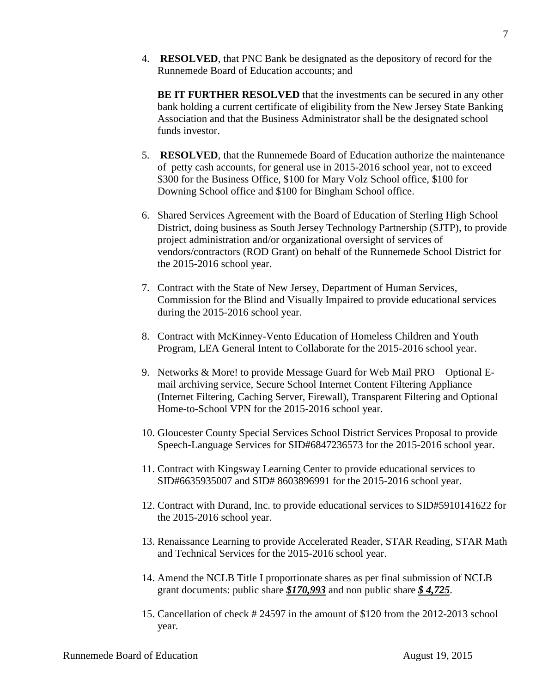4. **RESOLVED**, that PNC Bank be designated as the depository of record for the Runnemede Board of Education accounts; and

**BE IT FURTHER RESOLVED** that the investments can be secured in any other bank holding a current certificate of eligibility from the New Jersey State Banking Association and that the Business Administrator shall be the designated school funds investor.

- 5. **RESOLVED**, that the Runnemede Board of Education authorize the maintenance of petty cash accounts, for general use in 2015-2016 school year, not to exceed \$300 for the Business Office, \$100 for Mary Volz School office, \$100 for Downing School office and \$100 for Bingham School office.
- 6. Shared Services Agreement with the Board of Education of Sterling High School District, doing business as South Jersey Technology Partnership (SJTP), to provide project administration and/or organizational oversight of services of vendors/contractors (ROD Grant) on behalf of the Runnemede School District for the 2015-2016 school year.
- 7. Contract with the State of New Jersey, Department of Human Services, Commission for the Blind and Visually Impaired to provide educational services during the 2015-2016 school year.
- 8. Contract with McKinney-Vento Education of Homeless Children and Youth Program, LEA General Intent to Collaborate for the 2015-2016 school year.
- 9. Networks & More! to provide Message Guard for Web Mail PRO Optional Email archiving service, Secure School Internet Content Filtering Appliance (Internet Filtering, Caching Server, Firewall), Transparent Filtering and Optional Home-to-School VPN for the 2015-2016 school year.
- 10. Gloucester County Special Services School District Services Proposal to provide Speech-Language Services for SID#6847236573 for the 2015-2016 school year.
- 11. Contract with Kingsway Learning Center to provide educational services to SID#6635935007 and SID# 8603896991 for the 2015-2016 school year.
- 12. Contract with Durand, Inc. to provide educational services to SID#5910141622 for the 2015-2016 school year.
- 13. Renaissance Learning to provide Accelerated Reader, STAR Reading, STAR Math and Technical Services for the 2015-2016 school year.
- 14. Amend the NCLB Title I proportionate shares as per final submission of NCLB grant documents: public share *\$170,993* and non public share *\$ 4,725*.
- 15. Cancellation of check # 24597 in the amount of \$120 from the 2012-2013 school year.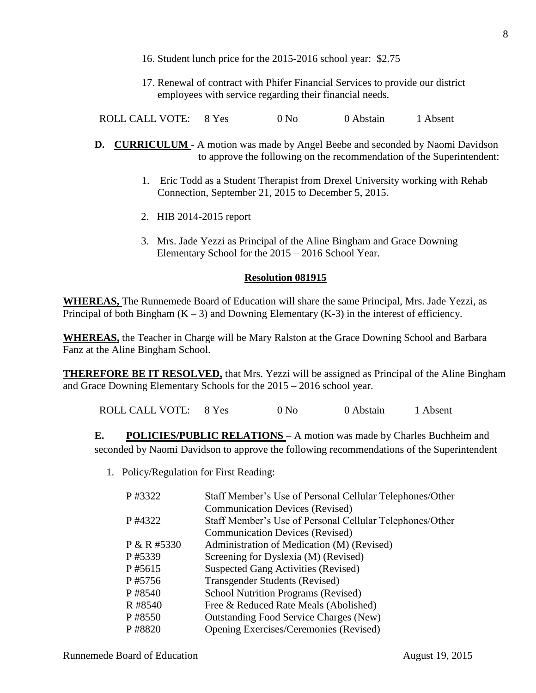- 16. Student lunch price for the 2015-2016 school year: \$2.75
- 17. Renewal of contract with Phifer Financial Services to provide our district employees with service regarding their financial needs.

ROLL CALL VOTE: 8 Yes 0 No 0 Abstain 1 Absent

- **D. CURRICULUM**  A motion was made by Angel Beebe and seconded by Naomi Davidson to approve the following on the recommendation of the Superintendent:
	- 1. Eric Todd as a Student Therapist from Drexel University working with Rehab Connection, September 21, 2015 to December 5, 2015.
	- 2. HIB 2014-2015 report
	- 3. Mrs. Jade Yezzi as Principal of the Aline Bingham and Grace Downing Elementary School for the 2015 – 2016 School Year.

## **Resolution 081915**

**WHEREAS,** The Runnemede Board of Education will share the same Principal, Mrs. Jade Yezzi, as Principal of both Bingham  $(K - 3)$  and Downing Elementary  $(K-3)$  in the interest of efficiency.

**WHEREAS,** the Teacher in Charge will be Mary Ralston at the Grace Downing School and Barbara Fanz at the Aline Bingham School.

**THEREFORE BE IT RESOLVED,** that Mrs. Yezzi will be assigned as Principal of the Aline Bingham and Grace Downing Elementary Schools for the 2015 – 2016 school year.

ROLL CALL VOTE: 8 Yes 0 No 0 Abstain 1 Absent

**E. POLICIES/PUBLIC RELATIONS** – A motion was made by Charles Buchheim and seconded by Naomi Davidson to approve the following recommendations of the Superintendent

1. Policy/Regulation for First Reading:

| P #3322     | Staff Member's Use of Personal Cellular Telephones/Other |
|-------------|----------------------------------------------------------|
|             | <b>Communication Devices (Revised)</b>                   |
| P #4322     | Staff Member's Use of Personal Cellular Telephones/Other |
|             | <b>Communication Devices (Revised)</b>                   |
| P & R #5330 | Administration of Medication (M) (Revised)               |
| P #5339     | Screening for Dyslexia (M) (Revised)                     |
| P #5615     | <b>Suspected Gang Activities (Revised)</b>               |
| P#5756      | <b>Transgender Students (Revised)</b>                    |
| P #8540     | <b>School Nutrition Programs (Revised)</b>               |
| R #8540     | Free & Reduced Rate Meals (Abolished)                    |
| P #8550     | <b>Outstanding Food Service Charges (New)</b>            |
| P #8820     | Opening Exercises/Ceremonies (Revised)                   |